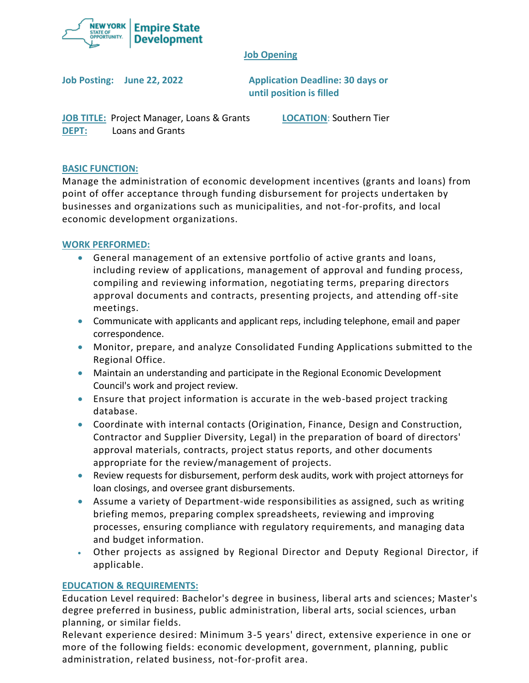

### **Job Opening**

**Job Posting: June 22, 2022 Application Deadline: 30 days or until position is filled**

**JOB TITLE:** Project Manager, Loans & Grants **LOCATION**: Southern Tier **DEPT:** Loans and Grants

# **BASIC FUNCTION:**

Manage the administration of economic development incentives (grants and loans) from point of offer acceptance through funding disbursement for projects undertaken by businesses and organizations such as municipalities, and not-for-profits, and local economic development organizations.

# **WORK PERFORMED:**

- General management of an extensive portfolio of active grants and loans, including review of applications, management of approval and funding process, compiling and reviewing information, negotiating terms, preparing directors approval documents and contracts, presenting projects, and attending off-site meetings.
- Communicate with applicants and applicant reps, including telephone, email and paper correspondence.
- Monitor, prepare, and analyze Consolidated Funding Applications submitted to the Regional Office.
- Maintain an understanding and participate in the Regional Economic Development Council's work and project review.
- Ensure that project information is accurate in the web-based project tracking database.
- Coordinate with internal contacts (Origination, Finance, Design and Construction, Contractor and Supplier Diversity, Legal) in the preparation of board of directors' approval materials, contracts, project status reports, and other documents appropriate for the review/management of projects.
- Review requests for disbursement, perform desk audits, work with project attorneys for loan closings, and oversee grant disbursements.
- Assume a variety of Department-wide responsibilities as assigned, such as writing briefing memos, preparing complex spreadsheets, reviewing and improving processes, ensuring compliance with regulatory requirements, and managing data and budget information.
- Other projects as assigned by Regional Director and Deputy Regional Director, if applicable.

# **EDUCATION & REQUIREMENTS:**

Education Level required: Bachelor's degree in business, liberal arts and sciences; Master's degree preferred in business, public administration, liberal arts, social sciences, urban planning, or similar fields.

Relevant experience desired: Minimum 3-5 years' direct, extensive experience in one or more of the following fields: economic development, government, planning, public administration, related business, not-for-profit area.